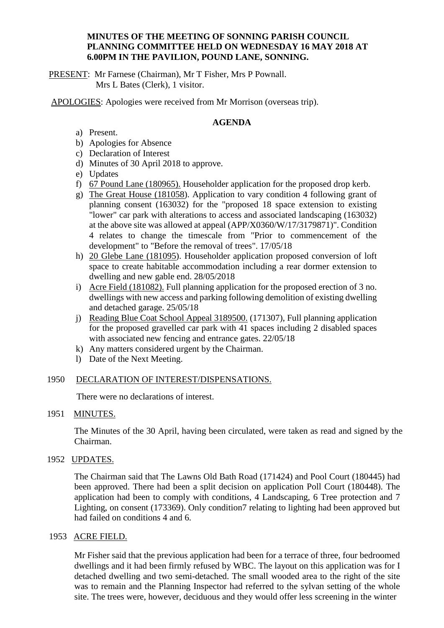## **MINUTES OF THE MEETING OF SONNING PARISH COUNCIL PLANNING COMMITTEE HELD ON WEDNESDAY 16 MAY 2018 AT 6.00PM IN THE PAVILION, POUND LANE, SONNING.**

PRESENT: Mr Farnese (Chairman), Mr T Fisher, Mrs P Pownall. Mrs L Bates (Clerk), 1 visitor.

APOLOGIES: Apologies were received from Mr Morrison (overseas trip).

### **AGENDA**

- a) Present.
- b) Apologies for Absence
- c) Declaration of Interest
- d) Minutes of 30 April 2018 to approve.
- e) Updates
- f) 67 Pound Lane (180965). Householder application for the proposed drop kerb.
- g) The Great House (181058). Application to vary condition 4 following grant of planning consent (163032) for the "proposed 18 space extension to existing "lower" car park with alterations to access and associated landscaping (163032) at the above site was allowed at appeal (APP/X0360/W/17/3179871)". Condition 4 relates to change the timescale from "Prior to commencement of the development" to "Before the removal of trees". 17/05/18
- h) 20 Glebe Lane (181095). Householder application proposed conversion of loft space to create habitable accommodation including a rear dormer extension to dwelling and new gable end. 28/05/2018
- i) Acre Field (181082). Full planning application for the proposed erection of 3 no. dwellings with new access and parking following demolition of existing dwelling and detached garage. 25/05/18
- j) Reading Blue Coat School Appeal 3189500. (171307), Full planning application for the proposed gravelled car park with 41 spaces including 2 disabled spaces with associated new fencing and entrance gates. 22/05/18
- k) Any matters considered urgent by the Chairman.
- l) Date of the Next Meeting.

## 1950 DECLARATION OF INTEREST/DISPENSATIONS.

There were no declarations of interest.

#### 1951 MINUTES.

The Minutes of the 30 April, having been circulated, were taken as read and signed by the Chairman.

#### 1952 UPDATES.

The Chairman said that The Lawns Old Bath Road (171424) and Pool Court (180445) had been approved. There had been a split decision on application Poll Court (180448). The application had been to comply with conditions, 4 Landscaping, 6 Tree protection and 7 Lighting, on consent (173369). Only condition7 relating to lighting had been approved but had failed on conditions 4 and 6.

#### 1953 ACRE FIELD.

Mr Fisher said that the previous application had been for a terrace of three, four bedroomed dwellings and it had been firmly refused by WBC. The layout on this application was for I detached dwelling and two semi-detached. The small wooded area to the right of the site was to remain and the Planning Inspector had referred to the sylvan setting of the whole site. The trees were, however, deciduous and they would offer less screening in the winter